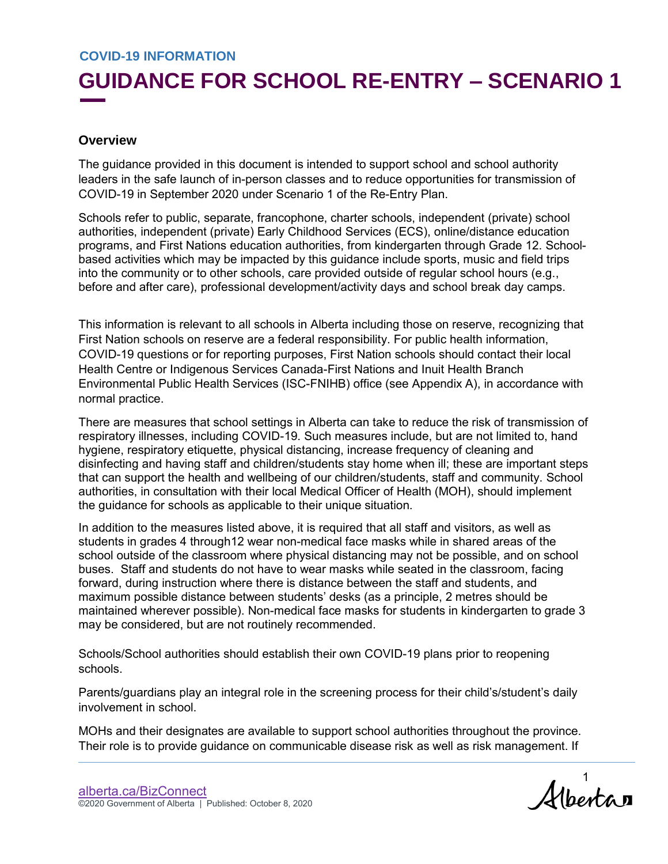## **GUIDANCE FOR SCHOOL RE-ENTRY – SCENARIO 1**

#### **Overview**

The guidance provided in this document is intended to support school and school authority leaders in the safe launch of in-person classes and to reduce opportunities for transmission of COVID-19 in September 2020 under Scenario 1 of the Re-Entry Plan.

Schools refer to public, separate, francophone, charter schools, independent (private) school authorities, independent (private) Early Childhood Services (ECS), online/distance education programs, and First Nations education authorities, from kindergarten through Grade 12. Schoolbased activities which may be impacted by this guidance include sports, music and field trips into the community or to other schools, care provided outside of regular school hours (e.g., before and after care), professional development/activity days and school break day camps.

This information is relevant to all schools in Alberta including those on reserve, recognizing that First Nation schools on reserve are a federal responsibility. For public health information, COVID-19 questions or for reporting purposes, First Nation schools should contact their local Health Centre or Indigenous Services Canada-First Nations and Inuit Health Branch Environmental Public Health Services (ISC-FNIHB) office (see Appendix A), in accordance with normal practice.

There are measures that school settings in Alberta can take to reduce the risk of transmission of respiratory illnesses, including COVID-19. Such measures include, but are not limited to, hand hygiene, respiratory etiquette, physical distancing, increase frequency of cleaning and disinfecting and having staff and children/students stay home when ill; these are important steps that can support the health and wellbeing of our children/students, staff and community. School authorities, in consultation with their local Medical Officer of Health (MOH), should implement the guidance for schools as applicable to their unique situation.

In addition to the measures listed above, it is required that all staff and visitors, as well as students in grades 4 through12 wear non-medical face masks while in shared areas of the school outside of the classroom where physical distancing may not be possible, and on school buses. Staff and students do not have to wear masks while seated in the classroom, facing forward, during instruction where there is distance between the staff and students, and maximum possible distance between students' desks (as a principle, 2 metres should be maintained wherever possible). Non-medical face masks for students in kindergarten to grade 3 may be considered, but are not routinely recommended.

Schools/School authorities should establish their own COVID-19 plans prior to reopening schools.

Parents/guardians play an integral role in the screening process for their child's/student's daily involvement in school.

MOHs and their designates are available to support school authorities throughout the province. Their role is to provide guidance on communicable disease risk as well as risk management. If

Albertan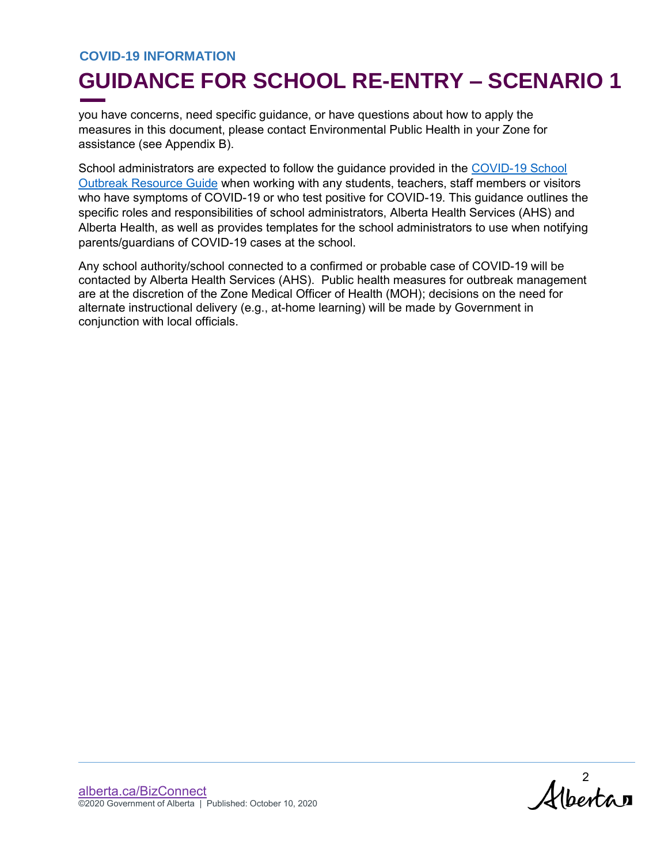## **GUIDANCE FOR SCHOOL RE-ENTRY – SCENARIO 1**

you have concerns, need specific guidance, or have questions about how to apply the measures in this document, please contact Environmental Public Health in your Zone for assistance (see Appendix B).

School administrators are expected to follow the guidance provided in the [COVID-19 School](https://open.alberta.ca/dataset/f3b954c8-7ec4-42ea-a6f5-0a10d08cbbac/resource/49512d1b-a192-46ac-ba05-12fffadebef4/download/covid-19-resource-guide-for-covid-19-in-school.pdf)  [Outbreak Resource Guide](https://open.alberta.ca/dataset/f3b954c8-7ec4-42ea-a6f5-0a10d08cbbac/resource/49512d1b-a192-46ac-ba05-12fffadebef4/download/covid-19-resource-guide-for-covid-19-in-school.pdf) when working with any students, teachers, staff members or visitors who have symptoms of COVID-19 or who test positive for COVID-19. This guidance outlines the specific roles and responsibilities of school administrators, Alberta Health Services (AHS) and Alberta Health, as well as provides templates for the school administrators to use when notifying parents/guardians of COVID-19 cases at the school.

Any school authority/school connected to a confirmed or probable case of COVID-19 will be contacted by Alberta Health Services (AHS). Public health measures for outbreak management are at the discretion of the Zone Medical Officer of Health (MOH); decisions on the need for alternate instructional delivery (e.g., at-home learning) will be made by Government in conjunction with local officials.

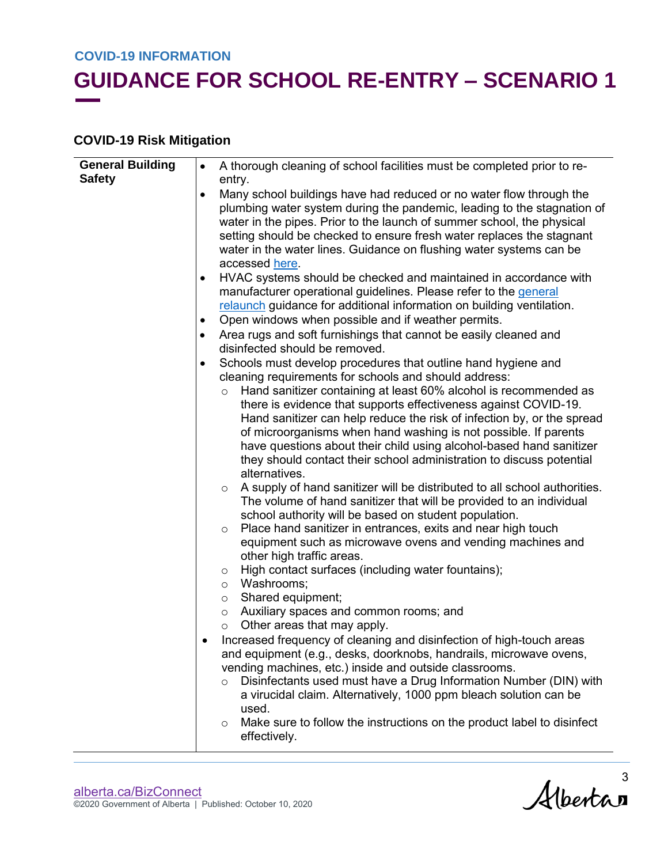# **GUIDANCE FOR SCHOOL RE-ENTRY – SCENARIO 1**

#### **COVID-19 Risk Mitigation**

| <b>General Building</b> | $\bullet$ | A thorough cleaning of school facilities must be completed prior to re-                                                                                                                                                                                                                                                                                                                                                                                                                                                                                                                                                                                                                                                                                                                                                                                                                                                                                                                                                                                                                                                                                                                                                                                                                                                                                                                                                                                                                                                                                                                                                                                             |  |  |
|-------------------------|-----------|---------------------------------------------------------------------------------------------------------------------------------------------------------------------------------------------------------------------------------------------------------------------------------------------------------------------------------------------------------------------------------------------------------------------------------------------------------------------------------------------------------------------------------------------------------------------------------------------------------------------------------------------------------------------------------------------------------------------------------------------------------------------------------------------------------------------------------------------------------------------------------------------------------------------------------------------------------------------------------------------------------------------------------------------------------------------------------------------------------------------------------------------------------------------------------------------------------------------------------------------------------------------------------------------------------------------------------------------------------------------------------------------------------------------------------------------------------------------------------------------------------------------------------------------------------------------------------------------------------------------------------------------------------------------|--|--|
| <b>Safety</b>           |           | entry.                                                                                                                                                                                                                                                                                                                                                                                                                                                                                                                                                                                                                                                                                                                                                                                                                                                                                                                                                                                                                                                                                                                                                                                                                                                                                                                                                                                                                                                                                                                                                                                                                                                              |  |  |
|                         | $\bullet$ | Many school buildings have had reduced or no water flow through the<br>plumbing water system during the pandemic, leading to the stagnation of<br>water in the pipes. Prior to the launch of summer school, the physical<br>setting should be checked to ensure fresh water replaces the stagnant<br>water in the water lines. Guidance on flushing water systems can be<br>accessed here.                                                                                                                                                                                                                                                                                                                                                                                                                                                                                                                                                                                                                                                                                                                                                                                                                                                                                                                                                                                                                                                                                                                                                                                                                                                                          |  |  |
|                         | $\bullet$ | HVAC systems should be checked and maintained in accordance with<br>manufacturer operational guidelines. Please refer to the general<br>relaunch guidance for additional information on building ventilation.                                                                                                                                                                                                                                                                                                                                                                                                                                                                                                                                                                                                                                                                                                                                                                                                                                                                                                                                                                                                                                                                                                                                                                                                                                                                                                                                                                                                                                                       |  |  |
|                         | ٠         | Open windows when possible and if weather permits.                                                                                                                                                                                                                                                                                                                                                                                                                                                                                                                                                                                                                                                                                                                                                                                                                                                                                                                                                                                                                                                                                                                                                                                                                                                                                                                                                                                                                                                                                                                                                                                                                  |  |  |
|                         | $\bullet$ | Area rugs and soft furnishings that cannot be easily cleaned and<br>disinfected should be removed.                                                                                                                                                                                                                                                                                                                                                                                                                                                                                                                                                                                                                                                                                                                                                                                                                                                                                                                                                                                                                                                                                                                                                                                                                                                                                                                                                                                                                                                                                                                                                                  |  |  |
|                         | $\bullet$ | Schools must develop procedures that outline hand hygiene and<br>cleaning requirements for schools and should address:<br>Hand sanitizer containing at least 60% alcohol is recommended as<br>$\circ$<br>there is evidence that supports effectiveness against COVID-19.<br>Hand sanitizer can help reduce the risk of infection by, or the spread<br>of microorganisms when hand washing is not possible. If parents<br>have questions about their child using alcohol-based hand sanitizer<br>they should contact their school administration to discuss potential<br>alternatives.<br>A supply of hand sanitizer will be distributed to all school authorities.<br>$\circ$<br>The volume of hand sanitizer that will be provided to an individual<br>school authority will be based on student population.<br>Place hand sanitizer in entrances, exits and near high touch<br>$\circ$<br>equipment such as microwave ovens and vending machines and<br>other high traffic areas.<br>High contact surfaces (including water fountains);<br>$\circ$<br>o Washrooms;<br>Shared equipment;<br>$\circ$<br>Auxiliary spaces and common rooms; and<br>$\circ$<br>Other areas that may apply.<br>$\circ$<br>Increased frequency of cleaning and disinfection of high-touch areas<br>and equipment (e.g., desks, doorknobs, handrails, microwave ovens,<br>vending machines, etc.) inside and outside classrooms.<br>Disinfectants used must have a Drug Information Number (DIN) with<br>a virucidal claim. Alternatively, 1000 ppm bleach solution can be<br>used.<br>Make sure to follow the instructions on the product label to disinfect<br>$\circ$<br>effectively. |  |  |

 $\mathcal{A}$ lbertan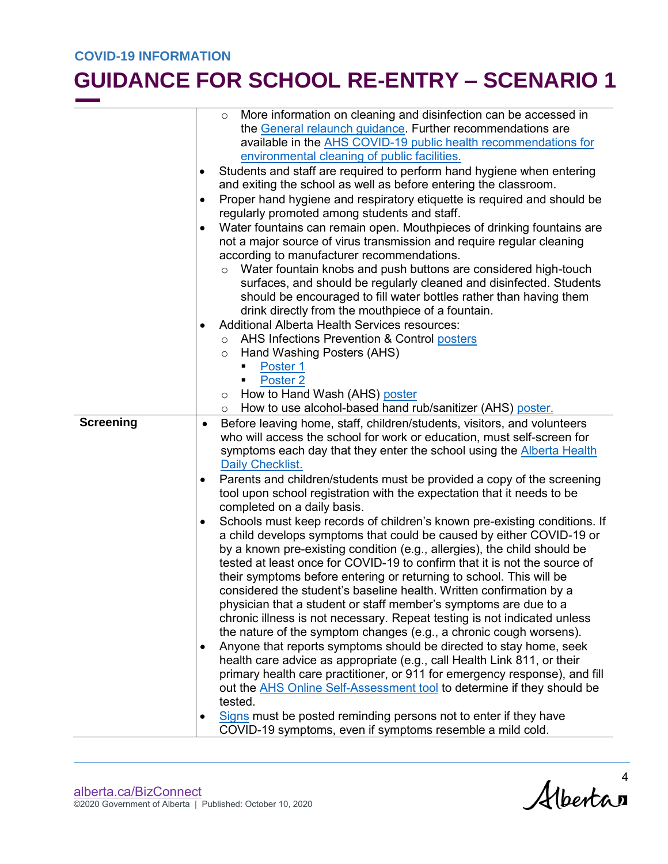|                  | More information on cleaning and disinfection can be accessed in<br>$\circ$            |  |
|------------------|----------------------------------------------------------------------------------------|--|
|                  | the General relaunch guidance. Further recommendations are                             |  |
|                  | available in the AHS COVID-19 public health recommendations for                        |  |
|                  | environmental cleaning of public facilities.                                           |  |
|                  |                                                                                        |  |
|                  | Students and staff are required to perform hand hygiene when entering<br>٠             |  |
|                  | and exiting the school as well as before entering the classroom.                       |  |
|                  | Proper hand hygiene and respiratory etiquette is required and should be<br>$\bullet$   |  |
|                  | regularly promoted among students and staff.                                           |  |
|                  | Water fountains can remain open. Mouthpieces of drinking fountains are<br>$\bullet$    |  |
|                  | not a major source of virus transmission and require regular cleaning                  |  |
|                  | according to manufacturer recommendations.                                             |  |
|                  | Water fountain knobs and push buttons are considered high-touch                        |  |
|                  | surfaces, and should be regularly cleaned and disinfected. Students                    |  |
|                  | should be encouraged to fill water bottles rather than having them                     |  |
|                  | drink directly from the mouthpiece of a fountain.                                      |  |
|                  | <b>Additional Alberta Health Services resources:</b><br>$\bullet$                      |  |
|                  | AHS Infections Prevention & Control posters<br>$\circ$                                 |  |
|                  | Hand Washing Posters (AHS)<br>$\circ$                                                  |  |
|                  | Poster 1                                                                               |  |
|                  | Poster <sub>2</sub><br>П                                                               |  |
|                  | How to Hand Wash (AHS) poster<br>$\circ$                                               |  |
|                  | How to use alcohol-based hand rub/sanitizer (AHS) poster.<br>$\circ$                   |  |
| <b>Screening</b> | Before leaving home, staff, children/students, visitors, and volunteers<br>$\bullet$   |  |
|                  | who will access the school for work or education, must self-screen for                 |  |
|                  | symptoms each day that they enter the school using the <b>Alberta Health</b>           |  |
|                  | Daily Checklist.                                                                       |  |
|                  | Parents and children/students must be provided a copy of the screening<br>$\bullet$    |  |
|                  | tool upon school registration with the expectation that it needs to be                 |  |
|                  | completed on a daily basis.                                                            |  |
|                  | Schools must keep records of children's known pre-existing conditions. If<br>$\bullet$ |  |
|                  | a child develops symptoms that could be caused by either COVID-19 or                   |  |
|                  | by a known pre-existing condition (e.g., allergies), the child should be               |  |
|                  | tested at least once for COVID-19 to confirm that it is not the source of              |  |
|                  | their symptoms before entering or returning to school. This will be                    |  |
|                  | considered the student's baseline health. Written confirmation by a                    |  |
|                  | physician that a student or staff member's symptoms are due to a                       |  |
|                  | chronic illness is not necessary. Repeat testing is not indicated unless               |  |
|                  | the nature of the symptom changes (e.g., a chronic cough worsens).                     |  |
|                  | Anyone that reports symptoms should be directed to stay home, seek<br>$\bullet$        |  |
|                  | health care advice as appropriate (e.g., call Health Link 811, or their                |  |
|                  |                                                                                        |  |
|                  | primary health care practitioner, or 911 for emergency response), and fill             |  |
|                  | out the AHS Online Self-Assessment tool to determine if they should be<br>tested.      |  |
|                  |                                                                                        |  |
|                  | Signs must be posted reminding persons not to enter if they have<br>$\bullet$          |  |
|                  | COVID-19 symptoms, even if symptoms resemble a mild cold.                              |  |

Alberta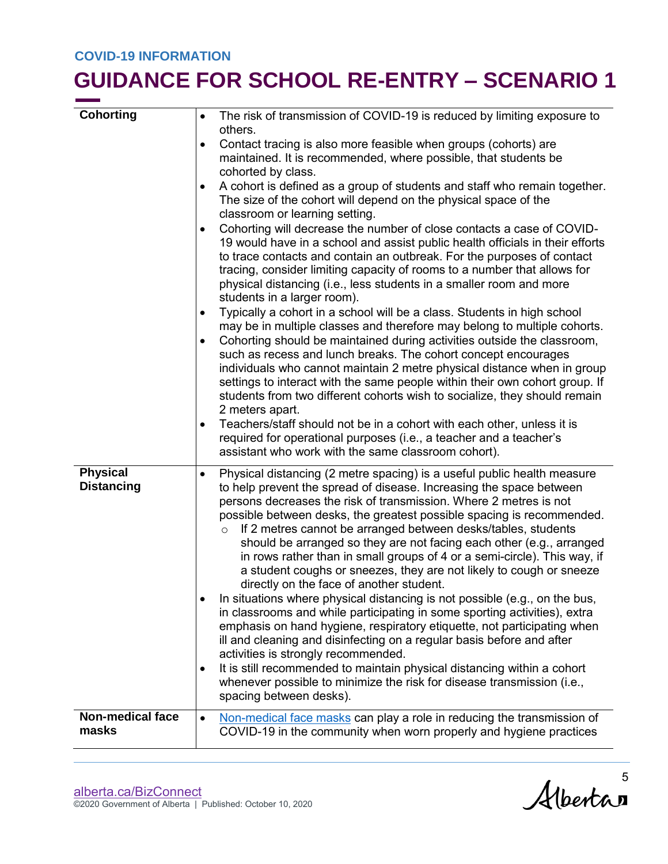| <b>Cohorting</b>                     | The risk of transmission of COVID-19 is reduced by limiting exposure to<br>$\bullet$<br>others.                                                                                                                                                                                                                                                                                                                                                                                                                                                                                                                                                                                                                                                                                                                                                                                                                                                                                                                                                                                                                                                                                                                 |
|--------------------------------------|-----------------------------------------------------------------------------------------------------------------------------------------------------------------------------------------------------------------------------------------------------------------------------------------------------------------------------------------------------------------------------------------------------------------------------------------------------------------------------------------------------------------------------------------------------------------------------------------------------------------------------------------------------------------------------------------------------------------------------------------------------------------------------------------------------------------------------------------------------------------------------------------------------------------------------------------------------------------------------------------------------------------------------------------------------------------------------------------------------------------------------------------------------------------------------------------------------------------|
|                                      | Contact tracing is also more feasible when groups (cohorts) are<br>$\bullet$<br>maintained. It is recommended, where possible, that students be<br>cohorted by class.                                                                                                                                                                                                                                                                                                                                                                                                                                                                                                                                                                                                                                                                                                                                                                                                                                                                                                                                                                                                                                           |
|                                      | A cohort is defined as a group of students and staff who remain together.<br>The size of the cohort will depend on the physical space of the<br>classroom or learning setting.                                                                                                                                                                                                                                                                                                                                                                                                                                                                                                                                                                                                                                                                                                                                                                                                                                                                                                                                                                                                                                  |
|                                      | Cohorting will decrease the number of close contacts a case of COVID-<br>$\bullet$<br>19 would have in a school and assist public health officials in their efforts<br>to trace contacts and contain an outbreak. For the purposes of contact<br>tracing, consider limiting capacity of rooms to a number that allows for<br>physical distancing (i.e., less students in a smaller room and more<br>students in a larger room).                                                                                                                                                                                                                                                                                                                                                                                                                                                                                                                                                                                                                                                                                                                                                                                 |
|                                      | Typically a cohort in a school will be a class. Students in high school<br>$\bullet$<br>may be in multiple classes and therefore may belong to multiple cohorts.<br>Cohorting should be maintained during activities outside the classroom,<br>$\bullet$<br>such as recess and lunch breaks. The cohort concept encourages<br>individuals who cannot maintain 2 metre physical distance when in group                                                                                                                                                                                                                                                                                                                                                                                                                                                                                                                                                                                                                                                                                                                                                                                                           |
|                                      | settings to interact with the same people within their own cohort group. If<br>students from two different cohorts wish to socialize, they should remain<br>2 meters apart.                                                                                                                                                                                                                                                                                                                                                                                                                                                                                                                                                                                                                                                                                                                                                                                                                                                                                                                                                                                                                                     |
|                                      | Teachers/staff should not be in a cohort with each other, unless it is<br>$\bullet$<br>required for operational purposes (i.e., a teacher and a teacher's<br>assistant who work with the same classroom cohort).                                                                                                                                                                                                                                                                                                                                                                                                                                                                                                                                                                                                                                                                                                                                                                                                                                                                                                                                                                                                |
| <b>Physical</b><br><b>Distancing</b> | Physical distancing (2 metre spacing) is a useful public health measure<br>$\bullet$<br>to help prevent the spread of disease. Increasing the space between<br>persons decreases the risk of transmission. Where 2 metres is not<br>possible between desks, the greatest possible spacing is recommended.<br>If 2 metres cannot be arranged between desks/tables, students<br>$\circ$<br>should be arranged so they are not facing each other (e.g., arranged<br>in rows rather than in small groups of 4 or a semi-circle). This way, if<br>a student coughs or sneezes, they are not likely to cough or sneeze<br>directly on the face of another student.<br>In situations where physical distancing is not possible (e.g., on the bus,<br>in classrooms and while participating in some sporting activities), extra<br>emphasis on hand hygiene, respiratory etiquette, not participating when<br>ill and cleaning and disinfecting on a regular basis before and after<br>activities is strongly recommended.<br>It is still recommended to maintain physical distancing within a cohort<br>$\bullet$<br>whenever possible to minimize the risk for disease transmission (i.e.,<br>spacing between desks). |
| <b>Non-medical face</b><br>masks     | Non-medical face masks can play a role in reducing the transmission of<br>$\bullet$<br>COVID-19 in the community when worn properly and hygiene practices                                                                                                                                                                                                                                                                                                                                                                                                                                                                                                                                                                                                                                                                                                                                                                                                                                                                                                                                                                                                                                                       |
|                                      |                                                                                                                                                                                                                                                                                                                                                                                                                                                                                                                                                                                                                                                                                                                                                                                                                                                                                                                                                                                                                                                                                                                                                                                                                 |

Alberta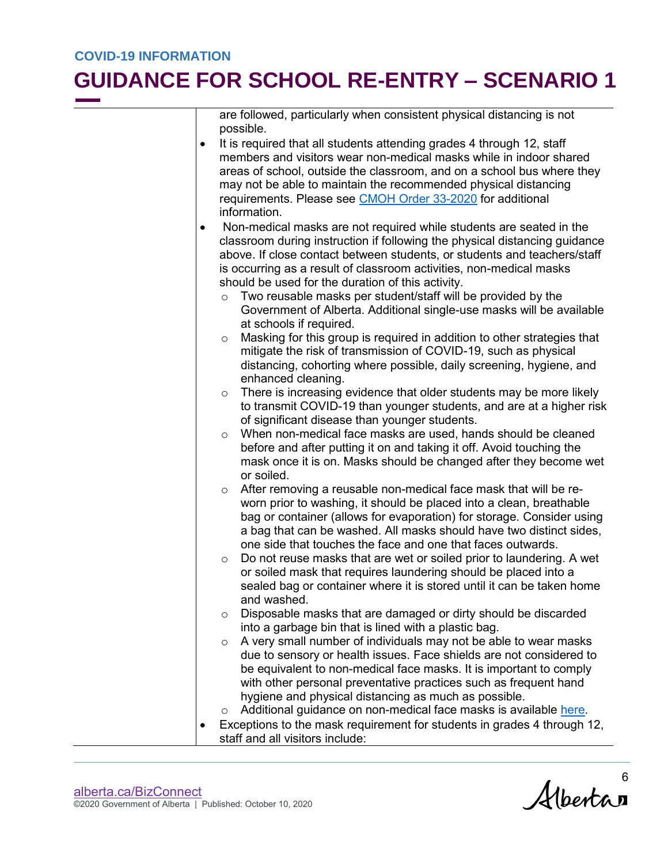are followed, particularly when consistent physical distancing is not possible.

- It is required that all students attending grades 4 through 12, staff members and visitors wear non-medical masks while in indoor shared areas of school, outside the classroom, and on a school bus where they may not be able to maintain the recommended physical distancing requirements. Please see [CMOH Order 33-2020](https://open.alberta.ca/publications/cmoh-order-33-2020-2020-covid-19-response) for additional information.
- Non-medical masks are not required while students are seated in the classroom during instruction if following the physical distancing guidance above. If close contact between students, or students and teachers/staff is occurring as a result of classroom activities, non-medical masks should be used for the duration of this activity.
	- o Two reusable masks per student/staff will be provided by the Government of Alberta. Additional single-use masks will be available at schools if required.
	- o Masking for this group is required in addition to other strategies that mitigate the risk of transmission of COVID-19, such as physical distancing, cohorting where possible, daily screening, hygiene, and enhanced cleaning.
	- $\circ$  There is increasing evidence that older students may be more likely to transmit COVID-19 than younger students, and are at a higher risk of significant disease than younger students.
	- o When non-medical face masks are used, hands should be cleaned before and after putting it on and taking it off. Avoid touching the mask once it is on. Masks should be changed after they become wet or soiled.
	- o After removing a reusable non-medical face mask that will be reworn prior to washing, it should be placed into a clean, breathable bag or container (allows for evaporation) for storage. Consider using a bag that can be washed. All masks should have two distinct sides, one side that touches the face and one that faces outwards.
	- o Do not reuse masks that are wet or soiled prior to laundering. A wet or soiled mask that requires laundering should be placed into a sealed bag or container where it is stored until it can be taken home and washed.
	- o Disposable masks that are damaged or dirty should be discarded into a garbage bin that is lined with a plastic bag.
	- $\circ$  A very small number of individuals may not be able to wear masks due to sensory or health issues. Face shields are not considered to be equivalent to non-medical face masks. It is important to comply with other personal preventative practices such as frequent hand hygiene and physical distancing as much as possible.
	- o Additional guidance on non-medical face masks is available [here.](https://open.alberta.ca/dataset/989e490e-5959-4a20-bfc7-b126b08ea996/resource/523f7856-31f5-4af1-be62-3a48a0acad4c/download/covid-19-guidance-for-wearing-non-medical-masks.pdf)
- Exceptions to the mask requirement for students in grades 4 through 12, staff and all visitors include:

Albertan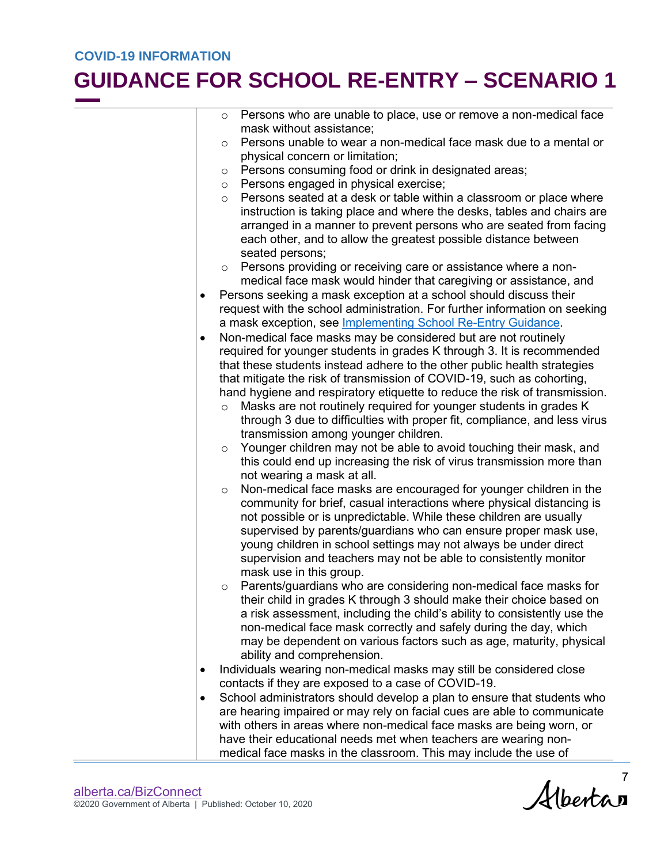| o Persons who are unable to place, use or remove a non-medical face |
|---------------------------------------------------------------------|
| mask without assistance;                                            |

- $\circ$  Persons unable to wear a non-medical face mask due to a mental or physical concern or limitation;
- o Persons consuming food or drink in designated areas;
- o Persons engaged in physical exercise;
- o Persons seated at a desk or table within a classroom or place where instruction is taking place and where the desks, tables and chairs are arranged in a manner to prevent persons who are seated from facing each other, and to allow the greatest possible distance between seated persons;
- o Persons providing or receiving care or assistance where a nonmedical face mask would hinder that caregiving or assistance, and
- Persons seeking a mask exception at a school should discuss their request with the school administration. For further information on seeking a mask exception, see [Implementing School Re-Entry Guidance.](https://www.alberta.ca/assets/documents/covid-19-implementing-school-re-entry-guidance.pdf)
- Non-medical face masks may be considered but are not routinely required for younger students in grades K through 3. It is recommended that these students instead adhere to the other public health strategies that mitigate the risk of transmission of COVID-19, such as cohorting, hand hygiene and respiratory etiquette to reduce the risk of transmission.
	- o Masks are not routinely required for younger students in grades K through 3 due to difficulties with proper fit, compliance, and less virus transmission among younger children.
	- Younger children may not be able to avoid touching their mask, and this could end up increasing the risk of virus transmission more than not wearing a mask at all.
	- o Non-medical face masks are encouraged for younger children in the community for brief, casual interactions where physical distancing is not possible or is unpredictable. While these children are usually supervised by parents/guardians who can ensure proper mask use, young children in school settings may not always be under direct supervision and teachers may not be able to consistently monitor mask use in this group.
	- Parents/guardians who are considering non-medical face masks for their child in grades K through 3 should make their choice based on a risk assessment, including the child's ability to consistently use the non-medical face mask correctly and safely during the day, which may be dependent on various factors such as age, maturity, physical ability and comprehension.
- Individuals wearing non-medical masks may still be considered close contacts if they are exposed to a case of COVID-19.
- School administrators should develop a plan to ensure that students who are hearing impaired or may rely on facial cues are able to communicate with others in areas where non-medical face masks are being worn, or have their educational needs met when teachers are wearing nonmedical face masks in the classroom. This may include the use of

Albertan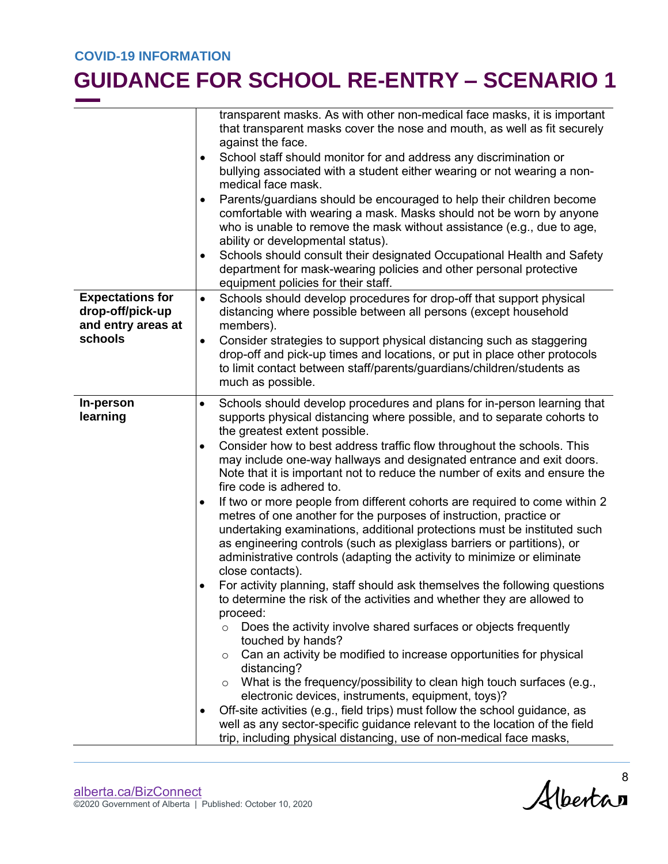|                                                                              | transparent masks. As with other non-medical face masks, it is important<br>that transparent masks cover the nose and mouth, as well as fit securely<br>against the face.<br>School staff should monitor for and address any discrimination or<br>bullying associated with a student either wearing or not wearing a non-<br>medical face mask.<br>Parents/guardians should be encouraged to help their children become<br>٠<br>comfortable with wearing a mask. Masks should not be worn by anyone<br>who is unable to remove the mask without assistance (e.g., due to age,<br>ability or developmental status).<br>Schools should consult their designated Occupational Health and Safety<br>department for mask-wearing policies and other personal protective<br>equipment policies for their staff.                            |
|------------------------------------------------------------------------------|--------------------------------------------------------------------------------------------------------------------------------------------------------------------------------------------------------------------------------------------------------------------------------------------------------------------------------------------------------------------------------------------------------------------------------------------------------------------------------------------------------------------------------------------------------------------------------------------------------------------------------------------------------------------------------------------------------------------------------------------------------------------------------------------------------------------------------------|
| <b>Expectations for</b><br>drop-off/pick-up<br>and entry areas at<br>schools | Schools should develop procedures for drop-off that support physical<br>$\bullet$<br>distancing where possible between all persons (except household<br>members).<br>Consider strategies to support physical distancing such as staggering<br>٠<br>drop-off and pick-up times and locations, or put in place other protocols<br>to limit contact between staff/parents/guardians/children/students as                                                                                                                                                                                                                                                                                                                                                                                                                                |
|                                                                              | much as possible.                                                                                                                                                                                                                                                                                                                                                                                                                                                                                                                                                                                                                                                                                                                                                                                                                    |
| In-person<br>learning                                                        | Schools should develop procedures and plans for in-person learning that<br>$\bullet$<br>supports physical distancing where possible, and to separate cohorts to<br>the greatest extent possible.<br>Consider how to best address traffic flow throughout the schools. This<br>$\bullet$<br>may include one-way hallways and designated entrance and exit doors.<br>Note that it is important not to reduce the number of exits and ensure the<br>fire code is adhered to.<br>If two or more people from different cohorts are required to come within 2<br>$\bullet$                                                                                                                                                                                                                                                                 |
|                                                                              | metres of one another for the purposes of instruction, practice or<br>undertaking examinations, additional protections must be instituted such<br>as engineering controls (such as plexiglass barriers or partitions), or<br>administrative controls (adapting the activity to minimize or eliminate<br>close contacts).<br>For activity planning, staff should ask themselves the following questions<br>to determine the risk of the activities and whether they are allowed to<br>proceed:<br>Does the activity involve shared surfaces or objects frequently<br>$\circ$<br>touched by hands?<br>Can an activity be modified to increase opportunities for physical<br>$\circ$<br>distancing?<br>What is the frequency/possibility to clean high touch surfaces (e.g.,<br>O<br>electronic devices, instruments, equipment, toys)? |
|                                                                              | Off-site activities (e.g., field trips) must follow the school guidance, as<br>well as any sector-specific guidance relevant to the location of the field<br>trip, including physical distancing, use of non-medical face masks,                                                                                                                                                                                                                                                                                                                                                                                                                                                                                                                                                                                                     |

Alberta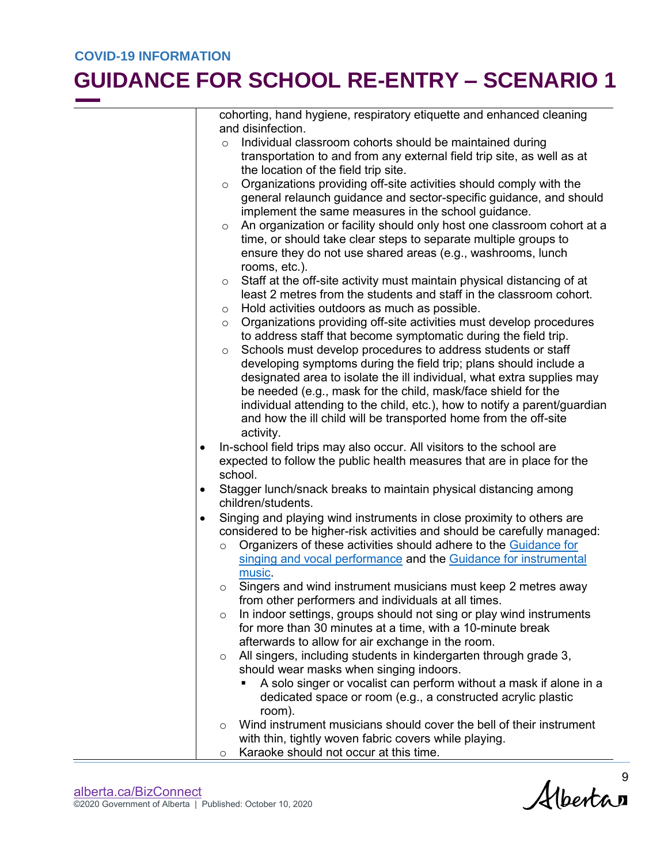#### **GUIDANCE FOR SCHOOL RE-ENTRY – SCENARIO 1**

cohorting, hand hygiene, respiratory etiquette and enhanced cleaning and disinfection.

- o Individual classroom cohorts should be maintained during transportation to and from any external field trip site, as well as at the location of the field trip site.
- $\circ$  Organizations providing off-site activities should comply with the general relaunch guidance and sector-specific guidance, and should implement the same measures in the school guidance.
- o An organization or facility should only host one classroom cohort at a time, or should take clear steps to separate multiple groups to ensure they do not use shared areas (e.g., washrooms, lunch rooms, etc.).
- o Staff at the off-site activity must maintain physical distancing of at least 2 metres from the students and staff in the classroom cohort.
- o Hold activities outdoors as much as possible.
- o Organizations providing off-site activities must develop procedures to address staff that become symptomatic during the field trip.
- o Schools must develop procedures to address students or staff developing symptoms during the field trip; plans should include a designated area to isolate the ill individual, what extra supplies may be needed (e.g., mask for the child, mask/face shield for the individual attending to the child, etc.), how to notify a parent/guardian and how the ill child will be transported home from the off-site activity.
- In-school field trips may also occur. All visitors to the school are expected to follow the public health measures that are in place for the school.
- Stagger lunch/snack breaks to maintain physical distancing among children/students.
- Singing and playing wind instruments in close proximity to others are considered to be higher-risk activities and should be carefully managed:
	- o Organizers of these activities should adhere to the Guidance for [singing and vocal performance](https://open.alberta.ca/publications/covid-19-information-guidance-for-singing-and-vocal-performance) and the [Guidance for instrumental](https://open.alberta.ca/publications/covid-19-information-guidance-for-live-instrumental-music)  [music.](https://open.alberta.ca/publications/covid-19-information-guidance-for-live-instrumental-music)
	- $\circ$  Singers and wind instrument musicians must keep 2 metres away from other performers and individuals at all times.
	- $\circ$  In indoor settings, groups should not sing or play wind instruments for more than 30 minutes at a time, with a 10-minute break afterwards to allow for air exchange in the room.
	- o All singers, including students in kindergarten through grade 3, should wear masks when singing indoors.
		- A solo singer or vocalist can perform without a mask if alone in a dedicated space or room (e.g., a constructed acrylic plastic room).
	- o Wind instrument musicians should cover the bell of their instrument with thin, tightly woven fabric covers while playing.
	- o Karaoke should not occur at this time.

 $A$ lbertan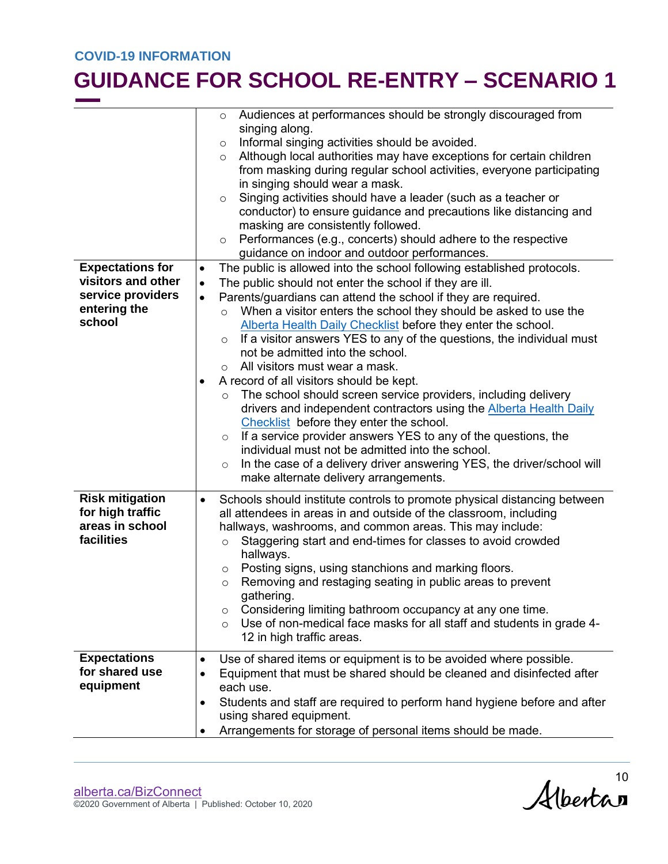|                                               | $\circ$   | Audiences at performances should be strongly discouraged from                                                                     |
|-----------------------------------------------|-----------|-----------------------------------------------------------------------------------------------------------------------------------|
|                                               | $\circ$   | singing along.<br>Informal singing activities should be avoided.                                                                  |
|                                               | $\circ$   | Although local authorities may have exceptions for certain children                                                               |
|                                               |           | from masking during regular school activities, everyone participating                                                             |
|                                               |           | in singing should wear a mask.                                                                                                    |
|                                               | $\circ$   | Singing activities should have a leader (such as a teacher or                                                                     |
|                                               |           | conductor) to ensure guidance and precautions like distancing and                                                                 |
|                                               |           | masking are consistently followed.                                                                                                |
|                                               | $\circ$   | Performances (e.g., concerts) should adhere to the respective                                                                     |
|                                               |           | guidance on indoor and outdoor performances.                                                                                      |
| <b>Expectations for</b><br>visitors and other | $\bullet$ | The public is allowed into the school following established protocols.                                                            |
| service providers                             | $\bullet$ | The public should not enter the school if they are ill.                                                                           |
| entering the                                  | $\bullet$ | Parents/guardians can attend the school if they are required.<br>When a visitor enters the school they should be asked to use the |
| school                                        | $\circ$   | Alberta Health Daily Checklist before they enter the school.                                                                      |
|                                               | $\circ$   | If a visitor answers YES to any of the questions, the individual must                                                             |
|                                               |           | not be admitted into the school.                                                                                                  |
|                                               | $\circ$   | All visitors must wear a mask.                                                                                                    |
|                                               | $\bullet$ | A record of all visitors should be kept.                                                                                          |
|                                               |           | The school should screen service providers, including delivery                                                                    |
|                                               |           | drivers and independent contractors using the <b>Alberta Health Daily</b>                                                         |
|                                               |           | Checklist before they enter the school.                                                                                           |
|                                               | $\circ$   | If a service provider answers YES to any of the questions, the                                                                    |
|                                               |           | individual must not be admitted into the school.                                                                                  |
|                                               | $\circ$   | In the case of a delivery driver answering YES, the driver/school will<br>make alternate delivery arrangements.                   |
|                                               |           |                                                                                                                                   |
| <b>Risk mitigation</b>                        | $\bullet$ | Schools should institute controls to promote physical distancing between                                                          |
| for high traffic                              |           | all attendees in areas in and outside of the classroom, including                                                                 |
| areas in school<br>facilities                 |           | hallways, washrooms, and common areas. This may include:                                                                          |
|                                               | $\circ$   | Staggering start and end-times for classes to avoid crowded<br>hallways.                                                          |
|                                               | $\circ$   | Posting signs, using stanchions and marking floors.                                                                               |
|                                               | $\circ$   | Removing and restaging seating in public areas to prevent                                                                         |
|                                               |           | gathering.                                                                                                                        |
|                                               | $\circ$   | Considering limiting bathroom occupancy at any one time.                                                                          |
|                                               | $\circ$   | Use of non-medical face masks for all staff and students in grade 4-                                                              |
|                                               |           | 12 in high traffic areas.                                                                                                         |
| <b>Expectations</b>                           | $\bullet$ | Use of shared items or equipment is to be avoided where possible.                                                                 |
| for shared use                                | $\bullet$ | Equipment that must be shared should be cleaned and disinfected after                                                             |
| equipment                                     |           | each use.                                                                                                                         |
|                                               | $\bullet$ | Students and staff are required to perform hand hygiene before and after                                                          |
|                                               |           | using shared equipment.                                                                                                           |
|                                               |           | Arrangements for storage of personal items should be made.                                                                        |
|                                               |           |                                                                                                                                   |

Albertan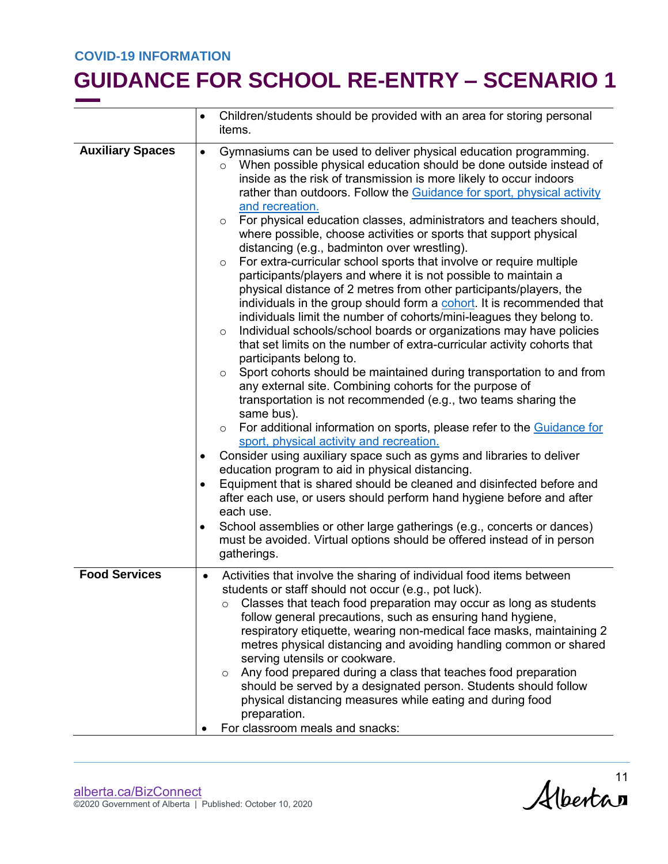|                         |                                                  | Children/students should be provided with an area for storing personal<br>items.                                                                                                                                                                                                                                                                                                                                                                                                                                                                                                                                                                                                                                                                                                                                                                                                                                                                                                                                                                                                                                                                                                                                                                                                                                                                                                                                                                                                                                                                                                                                                                                                                                                                                                                                                                                                                                               |  |
|-------------------------|--------------------------------------------------|--------------------------------------------------------------------------------------------------------------------------------------------------------------------------------------------------------------------------------------------------------------------------------------------------------------------------------------------------------------------------------------------------------------------------------------------------------------------------------------------------------------------------------------------------------------------------------------------------------------------------------------------------------------------------------------------------------------------------------------------------------------------------------------------------------------------------------------------------------------------------------------------------------------------------------------------------------------------------------------------------------------------------------------------------------------------------------------------------------------------------------------------------------------------------------------------------------------------------------------------------------------------------------------------------------------------------------------------------------------------------------------------------------------------------------------------------------------------------------------------------------------------------------------------------------------------------------------------------------------------------------------------------------------------------------------------------------------------------------------------------------------------------------------------------------------------------------------------------------------------------------------------------------------------------------|--|
| <b>Auxiliary Spaces</b> | $\bullet$<br>$\bullet$<br>$\bullet$<br>$\bullet$ | Gymnasiums can be used to deliver physical education programming.<br>When possible physical education should be done outside instead of<br>$\circ$<br>inside as the risk of transmission is more likely to occur indoors<br>rather than outdoors. Follow the Guidance for sport, physical activity<br>and recreation.<br>For physical education classes, administrators and teachers should,<br>$\circ$<br>where possible, choose activities or sports that support physical<br>distancing (e.g., badminton over wrestling).<br>For extra-curricular school sports that involve or require multiple<br>$\circ$<br>participants/players and where it is not possible to maintain a<br>physical distance of 2 metres from other participants/players, the<br>individuals in the group should form a cohort. It is recommended that<br>individuals limit the number of cohorts/mini-leagues they belong to.<br>Individual schools/school boards or organizations may have policies<br>$\circ$<br>that set limits on the number of extra-curricular activity cohorts that<br>participants belong to.<br>Sport cohorts should be maintained during transportation to and from<br>$\circ$<br>any external site. Combining cohorts for the purpose of<br>transportation is not recommended (e.g., two teams sharing the<br>same bus).<br>For additional information on sports, please refer to the Guidance for<br>$\circ$<br>sport, physical activity and recreation.<br>Consider using auxiliary space such as gyms and libraries to deliver<br>education program to aid in physical distancing.<br>Equipment that is shared should be cleaned and disinfected before and<br>after each use, or users should perform hand hygiene before and after<br>each use.<br>School assemblies or other large gatherings (e.g., concerts or dances)<br>must be avoided. Virtual options should be offered instead of in person<br>gatherings. |  |
| <b>Food Services</b>    | $\bullet$                                        | Activities that involve the sharing of individual food items between<br>students or staff should not occur (e.g., pot luck).<br>Classes that teach food preparation may occur as long as students<br>$\circ$<br>follow general precautions, such as ensuring hand hygiene,<br>respiratory etiquette, wearing non-medical face masks, maintaining 2<br>metres physical distancing and avoiding handling common or shared<br>serving utensils or cookware.<br>Any food prepared during a class that teaches food preparation<br>$\circ$<br>should be served by a designated person. Students should follow<br>physical distancing measures while eating and during food<br>preparation.<br>For classroom meals and snacks:                                                                                                                                                                                                                                                                                                                                                                                                                                                                                                                                                                                                                                                                                                                                                                                                                                                                                                                                                                                                                                                                                                                                                                                                       |  |

Alberta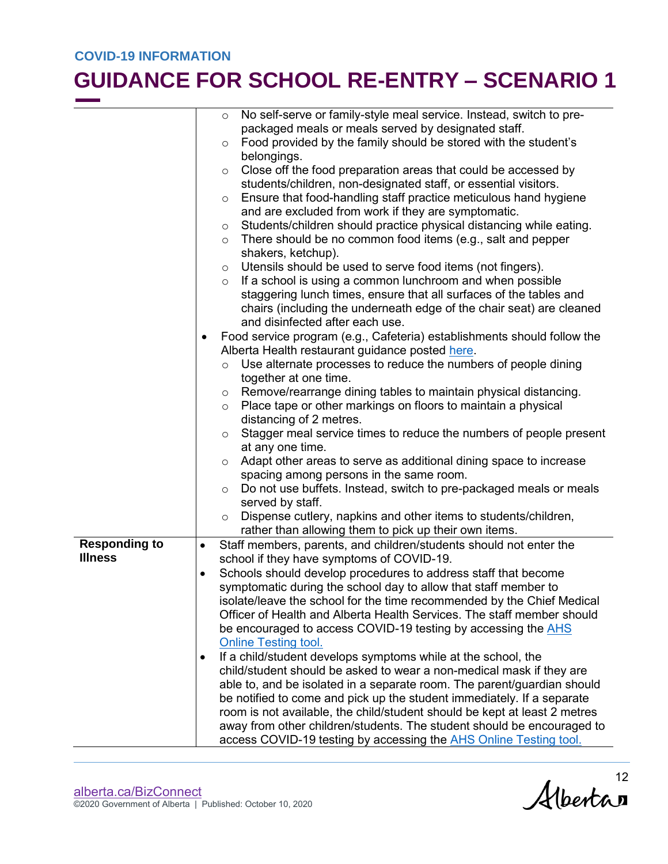|                      |                         | No self-serve or family-style meal service. Instead, switch to pre-<br>$\circ$              |  |
|----------------------|-------------------------|---------------------------------------------------------------------------------------------|--|
|                      |                         | packaged meals or meals served by designated staff.                                         |  |
|                      |                         | Food provided by the family should be stored with the student's<br>$\circ$                  |  |
|                      |                         | belongings.                                                                                 |  |
|                      |                         | Close off the food preparation areas that could be accessed by<br>O                         |  |
|                      |                         | students/children, non-designated staff, or essential visitors.                             |  |
|                      |                         | Ensure that food-handling staff practice meticulous hand hygiene<br>$\circ$                 |  |
|                      |                         | and are excluded from work if they are symptomatic.                                         |  |
|                      |                         | Students/children should practice physical distancing while eating.<br>O                    |  |
|                      |                         | There should be no common food items (e.g., salt and pepper<br>$\circ$                      |  |
|                      |                         | shakers, ketchup).                                                                          |  |
|                      |                         | Utensils should be used to serve food items (not fingers).<br>$\circ$                       |  |
|                      |                         | If a school is using a common lunchroom and when possible<br>$\circ$                        |  |
|                      |                         | staggering lunch times, ensure that all surfaces of the tables and                          |  |
|                      |                         | chairs (including the underneath edge of the chair seat) are cleaned                        |  |
|                      |                         | and disinfected after each use.                                                             |  |
|                      | $\bullet$               | Food service program (e.g., Cafeteria) establishments should follow the                     |  |
|                      |                         | Alberta Health restaurant guidance posted here.                                             |  |
|                      |                         | Use alternate processes to reduce the numbers of people dining<br>$\circ$                   |  |
|                      |                         | together at one time.                                                                       |  |
|                      |                         | Remove/rearrange dining tables to maintain physical distancing.<br>$\circ$                  |  |
|                      |                         | Place tape or other markings on floors to maintain a physical<br>$\circ$                    |  |
|                      | distancing of 2 metres. |                                                                                             |  |
|                      |                         | Stagger meal service times to reduce the numbers of people present<br>O<br>at any one time. |  |
|                      |                         | Adapt other areas to serve as additional dining space to increase<br>$\circ$                |  |
|                      |                         | spacing among persons in the same room.                                                     |  |
|                      |                         | Do not use buffets. Instead, switch to pre-packaged meals or meals<br>$\circ$               |  |
|                      |                         | served by staff.                                                                            |  |
|                      |                         | Dispense cutlery, napkins and other items to students/children,<br>$\circ$                  |  |
|                      |                         | rather than allowing them to pick up their own items.                                       |  |
| <b>Responding to</b> | $\bullet$               | Staff members, parents, and children/students should not enter the                          |  |
| <b>Illness</b>       |                         | school if they have symptoms of COVID-19.                                                   |  |
|                      | $\bullet$               | Schools should develop procedures to address staff that become                              |  |
|                      |                         | symptomatic during the school day to allow that staff member to                             |  |
|                      |                         | isolate/leave the school for the time recommended by the Chief Medical                      |  |
|                      |                         | Officer of Health and Alberta Health Services. The staff member should                      |  |
|                      |                         | be encouraged to access COVID-19 testing by accessing the AHS                               |  |
|                      |                         | <b>Online Testing tool.</b>                                                                 |  |
|                      | $\bullet$               | If a child/student develops symptoms while at the school, the                               |  |
|                      |                         | child/student should be asked to wear a non-medical mask if they are                        |  |
|                      |                         | able to, and be isolated in a separate room. The parent/guardian should                     |  |
|                      |                         | be notified to come and pick up the student immediately. If a separate                      |  |
|                      |                         | room is not available, the child/student should be kept at least 2 metres                   |  |
|                      |                         | away from other children/students. The student should be encouraged to                      |  |
|                      |                         | access COVID-19 testing by accessing the <b>AHS Online Testing tool.</b>                    |  |

Albertan<sup>12</sup>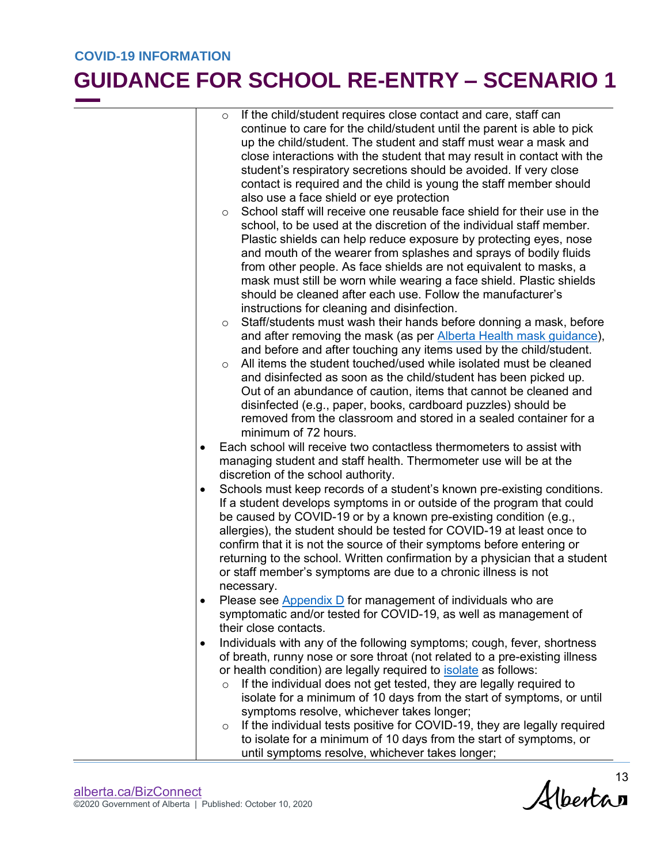|           | If the child/student requires close contact and care, staff can<br>$\circ$          |
|-----------|-------------------------------------------------------------------------------------|
|           | continue to care for the child/student until the parent is able to pick             |
|           | up the child/student. The student and staff must wear a mask and                    |
|           | close interactions with the student that may result in contact with the             |
|           | student's respiratory secretions should be avoided. If very close                   |
|           | contact is required and the child is young the staff member should                  |
|           | also use a face shield or eye protection                                            |
|           | School staff will receive one reusable face shield for their use in the             |
|           | $\circ$<br>school, to be used at the discretion of the individual staff member.     |
|           |                                                                                     |
|           | Plastic shields can help reduce exposure by protecting eyes, nose                   |
|           | and mouth of the wearer from splashes and sprays of bodily fluids                   |
|           | from other people. As face shields are not equivalent to masks, a                   |
|           | mask must still be worn while wearing a face shield. Plastic shields                |
|           | should be cleaned after each use. Follow the manufacturer's                         |
|           | instructions for cleaning and disinfection.                                         |
|           | Staff/students must wash their hands before donning a mask, before<br>$\circ$       |
|           | and after removing the mask (as per Alberta Health mask guidance),                  |
|           | and before and after touching any items used by the child/student.                  |
|           | All items the student touched/used while isolated must be cleaned<br>$\circ$        |
|           | and disinfected as soon as the child/student has been picked up.                    |
|           | Out of an abundance of caution, items that cannot be cleaned and                    |
|           | disinfected (e.g., paper, books, cardboard puzzles) should be                       |
|           | removed from the classroom and stored in a sealed container for a                   |
|           | minimum of 72 hours.                                                                |
| $\bullet$ | Each school will receive two contactless thermometers to assist with                |
|           | managing student and staff health. Thermometer use will be at the                   |
|           | discretion of the school authority.                                                 |
| ٠         | Schools must keep records of a student's known pre-existing conditions.             |
|           | If a student develops symptoms in or outside of the program that could              |
|           | be caused by COVID-19 or by a known pre-existing condition (e.g.,                   |
|           | allergies), the student should be tested for COVID-19 at least once to              |
|           | confirm that it is not the source of their symptoms before entering or              |
|           | returning to the school. Written confirmation by a physician that a student         |
|           | or staff member's symptoms are due to a chronic illness is not                      |
|           | necessary.                                                                          |
|           | Please see Appendix D for management of individuals who are                         |
|           | symptomatic and/or tested for COVID-19, as well as management of                    |
|           | their close contacts.                                                               |
| $\bullet$ | Individuals with any of the following symptoms; cough, fever, shortness             |
|           | of breath, runny nose or sore throat (not related to a pre-existing illness         |
|           | or health condition) are legally required to <b>isolate</b> as follows:             |
|           | If the individual does not get tested, they are legally required to<br>$\circ$      |
|           | isolate for a minimum of 10 days from the start of symptoms, or until               |
|           | symptoms resolve, whichever takes longer;                                           |
|           | If the individual tests positive for COVID-19, they are legally required<br>$\circ$ |
|           | to isolate for a minimum of 10 days from the start of symptoms, or                  |
|           | until symptoms resolve, whichever takes longer;                                     |
|           |                                                                                     |

 $Alberta$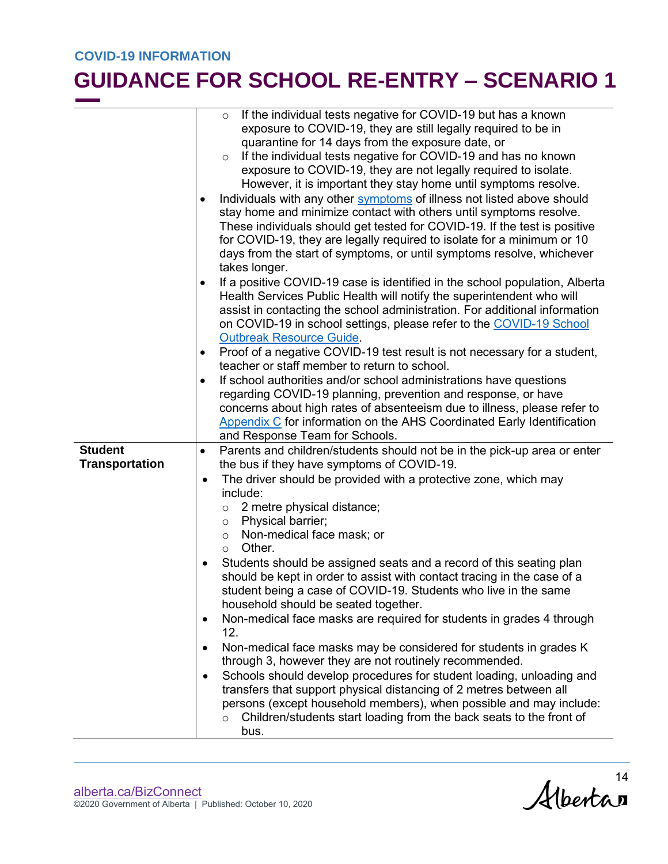|                       | If the individual tests negative for COVID-19 but has a known<br>$\circ$<br>exposure to COVID-19, they are still legally required to be in<br>quarantine for 14 days from the exposure date, or<br>If the individual tests negative for COVID-19 and has no known<br>$\circ$<br>exposure to COVID-19, they are not legally required to isolate.<br>However, it is important they stay home until symptoms resolve.<br>Individuals with any other symptoms of illness not listed above should<br>$\bullet$<br>stay home and minimize contact with others until symptoms resolve.<br>These individuals should get tested for COVID-19. If the test is positive<br>for COVID-19, they are legally required to isolate for a minimum or 10<br>days from the start of symptoms, or until symptoms resolve, whichever<br>takes longer.                                                                                                                                                                                                                  |  |
|-----------------------|---------------------------------------------------------------------------------------------------------------------------------------------------------------------------------------------------------------------------------------------------------------------------------------------------------------------------------------------------------------------------------------------------------------------------------------------------------------------------------------------------------------------------------------------------------------------------------------------------------------------------------------------------------------------------------------------------------------------------------------------------------------------------------------------------------------------------------------------------------------------------------------------------------------------------------------------------------------------------------------------------------------------------------------------------|--|
|                       | If a positive COVID-19 case is identified in the school population, Alberta<br>Health Services Public Health will notify the superintendent who will<br>assist in contacting the school administration. For additional information<br>on COVID-19 in school settings, please refer to the COVID-19 School<br><b>Outbreak Resource Guide.</b>                                                                                                                                                                                                                                                                                                                                                                                                                                                                                                                                                                                                                                                                                                      |  |
|                       | Proof of a negative COVID-19 test result is not necessary for a student,<br>$\bullet$<br>teacher or staff member to return to school.                                                                                                                                                                                                                                                                                                                                                                                                                                                                                                                                                                                                                                                                                                                                                                                                                                                                                                             |  |
|                       | If school authorities and/or school administrations have questions                                                                                                                                                                                                                                                                                                                                                                                                                                                                                                                                                                                                                                                                                                                                                                                                                                                                                                                                                                                |  |
|                       | regarding COVID-19 planning, prevention and response, or have<br>concerns about high rates of absenteeism due to illness, please refer to<br><b>Appendix C</b> for information on the AHS Coordinated Early Identification<br>and Response Team for Schools.                                                                                                                                                                                                                                                                                                                                                                                                                                                                                                                                                                                                                                                                                                                                                                                      |  |
| <b>Student</b>        | Parents and children/students should not be in the pick-up area or enter<br>$\bullet$                                                                                                                                                                                                                                                                                                                                                                                                                                                                                                                                                                                                                                                                                                                                                                                                                                                                                                                                                             |  |
| <b>Transportation</b> | the bus if they have symptoms of COVID-19.                                                                                                                                                                                                                                                                                                                                                                                                                                                                                                                                                                                                                                                                                                                                                                                                                                                                                                                                                                                                        |  |
|                       | The driver should be provided with a protective zone, which may<br>$\bullet$<br>include:<br>2 metre physical distance;<br>$\circ$<br>Physical barrier;<br>$\circ$<br>Non-medical face mask; or<br>$\circ$<br>Other.<br>$\circ$<br>Students should be assigned seats and a record of this seating plan<br>should be kept in order to assist with contact tracing in the case of a<br>student being a case of COVID-19. Students who live in the same<br>household should be seated together.<br>Non-medical face masks are required for students in grades 4 through<br>$\bullet$<br>12.<br>Non-medical face masks may be considered for students in grades K<br>through 3, however they are not routinely recommended.<br>Schools should develop procedures for student loading, unloading and<br>$\bullet$<br>transfers that support physical distancing of 2 metres between all<br>persons (except household members), when possible and may include:<br>Children/students start loading from the back seats to the front of<br>$\circ$<br>bus. |  |

Alberta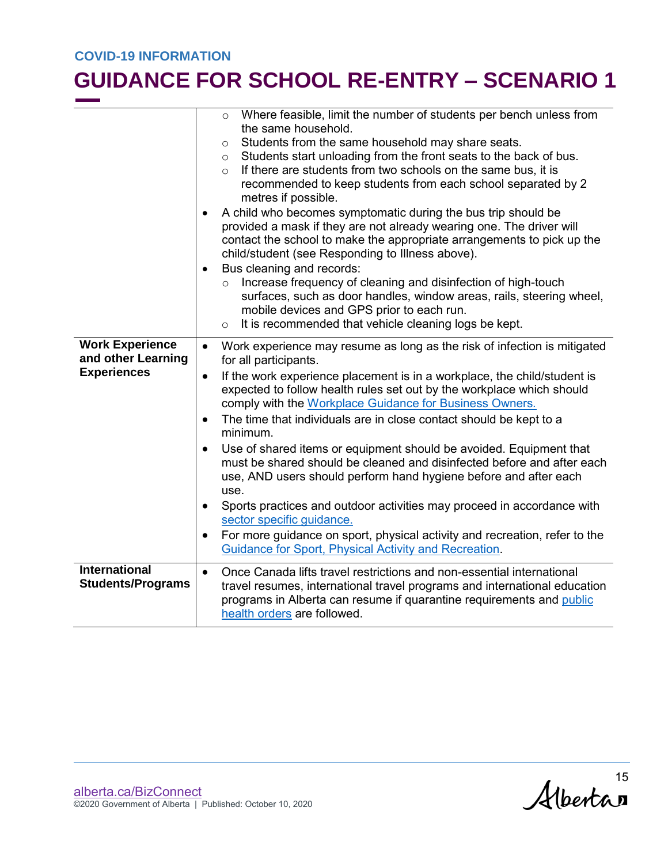|                                                  | Where feasible, limit the number of students per bench unless from<br>$\circ$<br>the same household.<br>Students from the same household may share seats.<br>$\circ$<br>Students start unloading from the front seats to the back of bus.<br>$\circ$<br>If there are students from two schools on the same bus, it is<br>$\circ$<br>recommended to keep students from each school separated by 2<br>metres if possible.<br>A child who becomes symptomatic during the bus trip should be<br>٠<br>provided a mask if they are not already wearing one. The driver will<br>contact the school to make the appropriate arrangements to pick up the<br>child/student (see Responding to Illness above). |  |  |
|--------------------------------------------------|-----------------------------------------------------------------------------------------------------------------------------------------------------------------------------------------------------------------------------------------------------------------------------------------------------------------------------------------------------------------------------------------------------------------------------------------------------------------------------------------------------------------------------------------------------------------------------------------------------------------------------------------------------------------------------------------------------|--|--|
|                                                  | Bus cleaning and records:<br>$\bullet$<br>Increase frequency of cleaning and disinfection of high-touch<br>$\circ$<br>surfaces, such as door handles, window areas, rails, steering wheel,<br>mobile devices and GPS prior to each run.<br>It is recommended that vehicle cleaning logs be kept.<br>$\circ$                                                                                                                                                                                                                                                                                                                                                                                         |  |  |
| <b>Work Experience</b><br>and other Learning     | Work experience may resume as long as the risk of infection is mitigated<br>$\bullet$<br>for all participants.                                                                                                                                                                                                                                                                                                                                                                                                                                                                                                                                                                                      |  |  |
| <b>Experiences</b>                               | If the work experience placement is in a workplace, the child/student is<br>$\bullet$<br>expected to follow health rules set out by the workplace which should<br>comply with the Workplace Guidance for Business Owners.                                                                                                                                                                                                                                                                                                                                                                                                                                                                           |  |  |
|                                                  | The time that individuals are in close contact should be kept to a<br>$\bullet$<br>minimum.                                                                                                                                                                                                                                                                                                                                                                                                                                                                                                                                                                                                         |  |  |
|                                                  | Use of shared items or equipment should be avoided. Equipment that<br>$\bullet$<br>must be shared should be cleaned and disinfected before and after each<br>use, AND users should perform hand hygiene before and after each<br>use.                                                                                                                                                                                                                                                                                                                                                                                                                                                               |  |  |
|                                                  | Sports practices and outdoor activities may proceed in accordance with<br>$\bullet$<br>sector specific guidance.                                                                                                                                                                                                                                                                                                                                                                                                                                                                                                                                                                                    |  |  |
|                                                  | For more guidance on sport, physical activity and recreation, refer to the<br>$\bullet$<br><b>Guidance for Sport, Physical Activity and Recreation.</b>                                                                                                                                                                                                                                                                                                                                                                                                                                                                                                                                             |  |  |
| <b>International</b><br><b>Students/Programs</b> | Once Canada lifts travel restrictions and non-essential international<br>$\bullet$<br>travel resumes, international travel programs and international education<br>programs in Alberta can resume if quarantine requirements and public<br>health orders are followed.                                                                                                                                                                                                                                                                                                                                                                                                                              |  |  |

 $Alberta$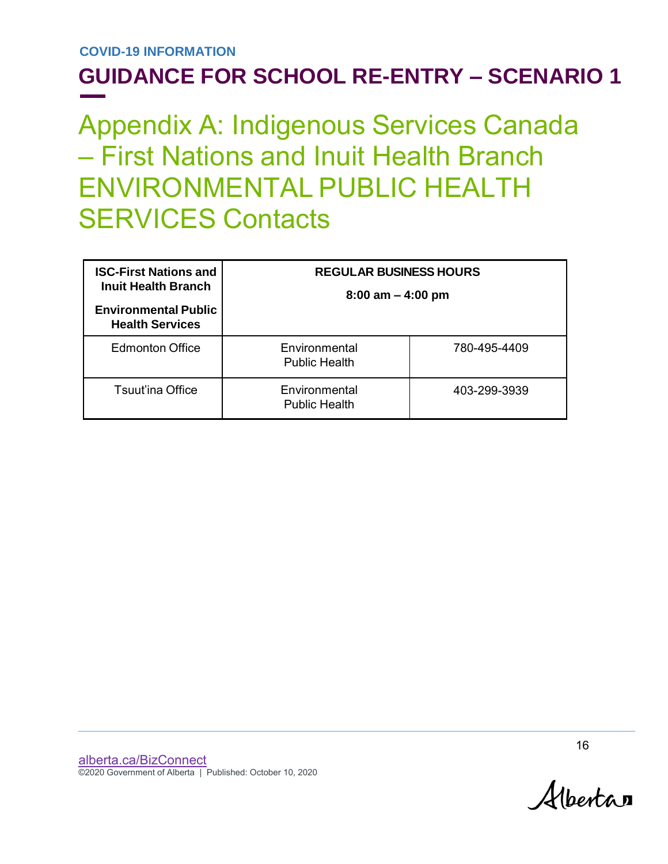# Appendix A: Indigenous Services Canada – First Nations and Inuit Health Branch ENVIRONMENTAL PUBLIC HEALTH SERVICES Contacts

| <b>ISC-First Nations and</b><br><b>Inuit Health Branch</b><br><b>Environmental Public</b><br><b>Health Services</b> | <b>REGULAR BUSINESS HOURS</b><br>$8:00$ am $-4:00$ pm |              |  |
|---------------------------------------------------------------------------------------------------------------------|-------------------------------------------------------|--------------|--|
| <b>Edmonton Office</b>                                                                                              | Environmental<br><b>Public Health</b>                 | 780-495-4409 |  |
| <b>Tsuut'ina Office</b>                                                                                             | Environmental<br><b>Public Health</b>                 | 403-299-3939 |  |

Albertan

16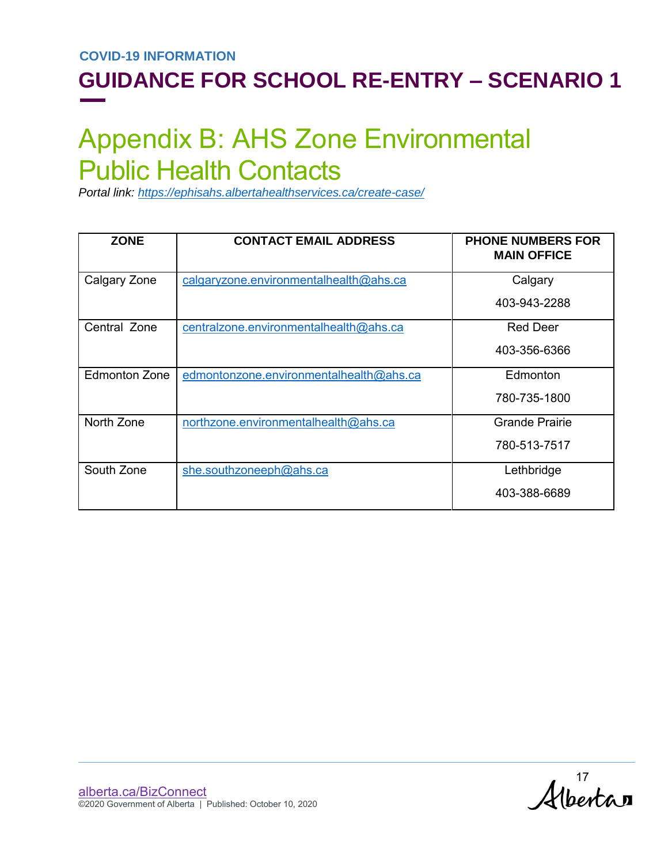## Appendix B: AHS Zone Environmental Public Health Contacts

*Portal link: <https://ephisahs.albertahealthservices.ca/create-case/>*

| <b>ZONE</b>          | <b>CONTACT EMAIL ADDRESS</b>            | <b>PHONE NUMBERS FOR</b><br><b>MAIN OFFICE</b> |
|----------------------|-----------------------------------------|------------------------------------------------|
| Calgary Zone         | calgaryzone.environmentalhealth@ahs.ca  | Calgary                                        |
|                      |                                         | 403-943-2288                                   |
| Central Zone         | centralzone.environmentalhealth@ahs.ca  | <b>Red Deer</b>                                |
|                      |                                         | 403-356-6366                                   |
| <b>Edmonton Zone</b> | edmontonzone.environmentalhealth@ahs.ca | Edmonton                                       |
|                      |                                         | 780-735-1800                                   |
| North Zone           | northzone.environmentalhealth@ahs.ca    | <b>Grande Prairie</b>                          |
|                      |                                         | 780-513-7517                                   |
| South Zone           | she.southzoneeph@ahs.ca                 | Lethbridge                                     |
|                      |                                         | 403-388-6689                                   |

 $Albertan$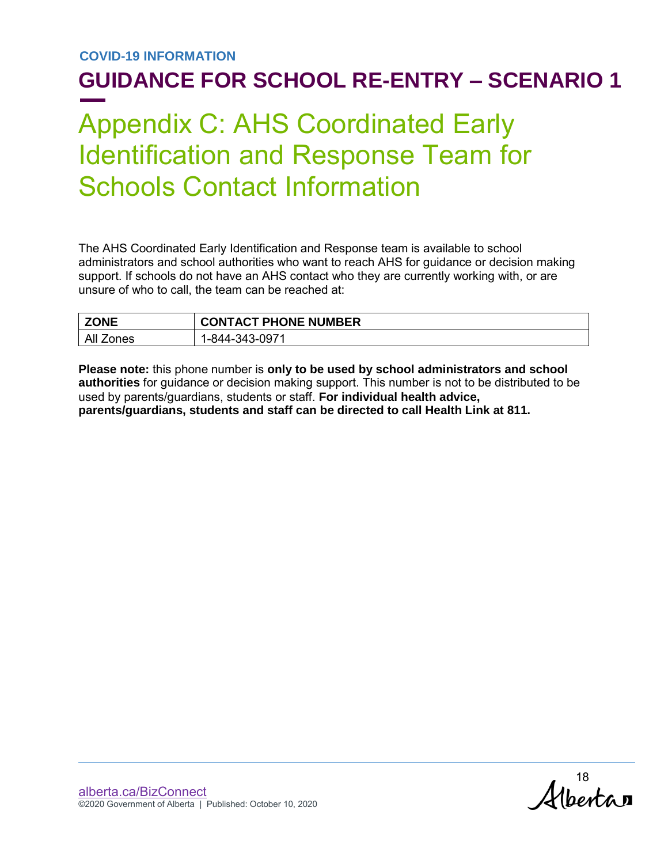## <span id="page-17-0"></span>Appendix C: AHS Coordinated Early Identification and Response Team for Schools Contact Information

The AHS Coordinated Early Identification and Response team is available to school administrators and school authorities who want to reach AHS for guidance or decision making support. If schools do not have an AHS contact who they are currently working with, or are unsure of who to call, the team can be reached at:

| <b>ZONE</b>          | <b>CONTACT PHONE NUMBER</b> |
|----------------------|-----------------------------|
| All<br><i>Z</i> ones | 1-844-343-0971              |

**Please note:** this phone number is **only to be used by school administrators and school authorities** for guidance or decision making support. This number is not to be distributed to be used by parents/guardians, students or staff. **For individual health advice, parents/guardians, students and staff can be directed to call Health Link at 811.**